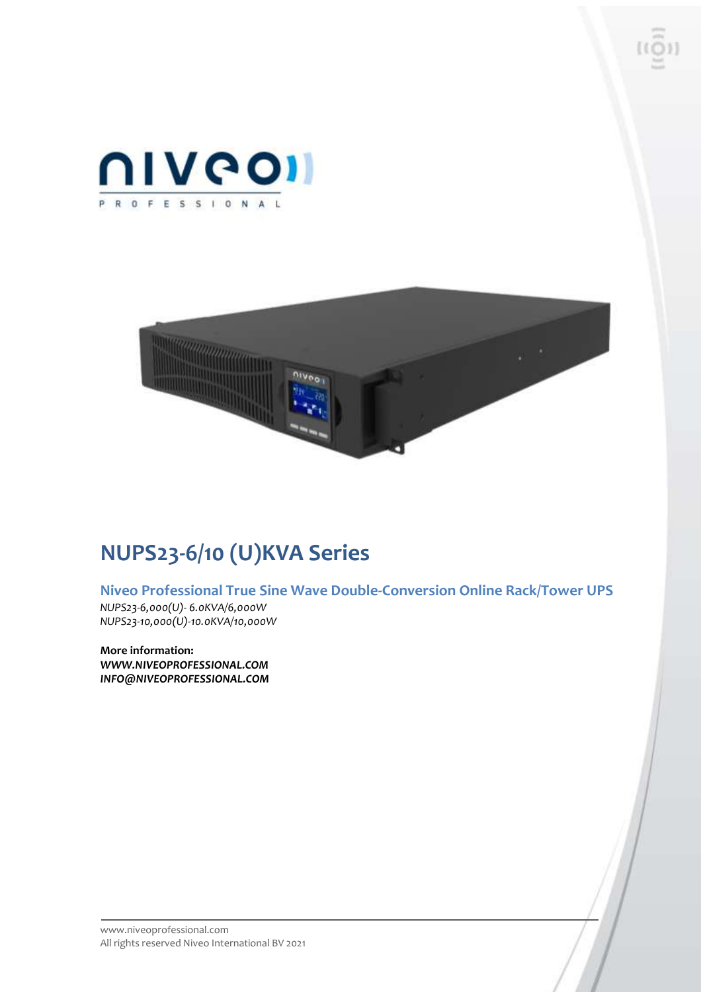



# **NUPS23-6/10 (U)KVA Series**

**Niveo Professional True Sine Wave Double-Conversion Online Rack/Tower UPS** *NUPS23-6,000(U)- 6.0KVA/6,000W NUPS23-10,000(U)-10.0KVA/10,000W*

**More information:** *WWW.NIVEOPROFESSIONAL.COM INFO@NIVEOPROFESSIONAL.COM*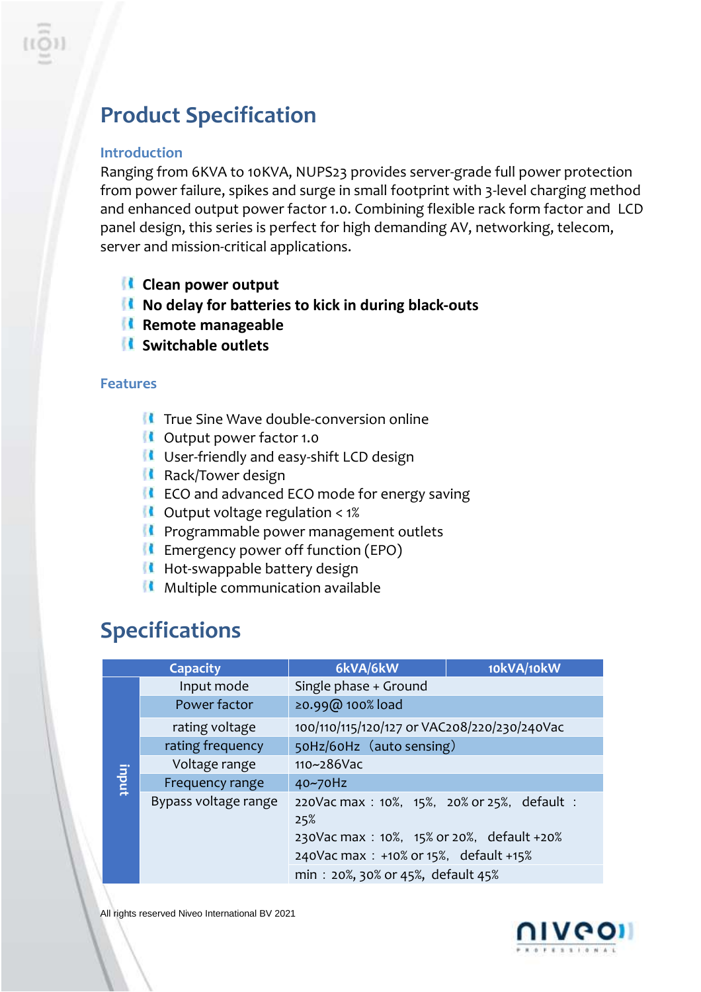# **Product Specification**

### **Introduction**

Ranging from 6KVA to 10KVA, NUPS23 provides server-grade full power protection from power failure, spikes and surge in small footprint with 3-level charging method and enhanced output power factor 1.0. Combining flexible rack form factor and LCD panel design, this series is perfect for high demanding AV, networking, telecom, server and mission-critical applications.

- **Clean power output**
- **No delay for batteries to kick in during black-outs**
- **Remote manageable**
- **Switchable outlets**

### **Features**

- **T** True Sine Wave double-conversion online
- **COUPUTE 1.0** Output power factor 1.0
- **If** User-friendly and easy-shift LCD design
- **Rack/Tower design**
- **If** ECO and advanced ECO mode for energy saving
- $\blacksquare$  Output voltage regulation < 1%
- **Programmable power management outlets**
- $\blacksquare$  Emergency power off function (EPO)
- Hot-swappable battery design
- $\blacksquare$  Multiple communication available

## **Specifications**

| <b>Capacity</b> |                      | 6kVA/6kW                                          | 10kVA/10kW |
|-----------------|----------------------|---------------------------------------------------|------------|
| indui           | Input mode           | Single phase + Ground                             |            |
|                 | Power factor         | ≥0.99@ 100% load                                  |            |
|                 | rating voltage       | 100/110/115/120/127 or VAC208/220/230/240Vac      |            |
|                 | rating frequency     | 50Hz/60Hz (auto sensing)                          |            |
|                 | Voltage range        | $110 - 286$ Vac                                   |            |
|                 | Frequency range      | 40~70Hz                                           |            |
|                 | Bypass voltage range | 220Vac max: 10%, 15%, 20% or 25%, default:<br>25% |            |
|                 |                      | 230Vac max : 10%, 15% or 20%, default +20%        |            |
|                 |                      | 240Vac max : +10% or 15%, default +15%            |            |
|                 |                      | min: 20%, 30% or 45%, default 45%                 |            |

All rights reserved Niveo International BV 2021

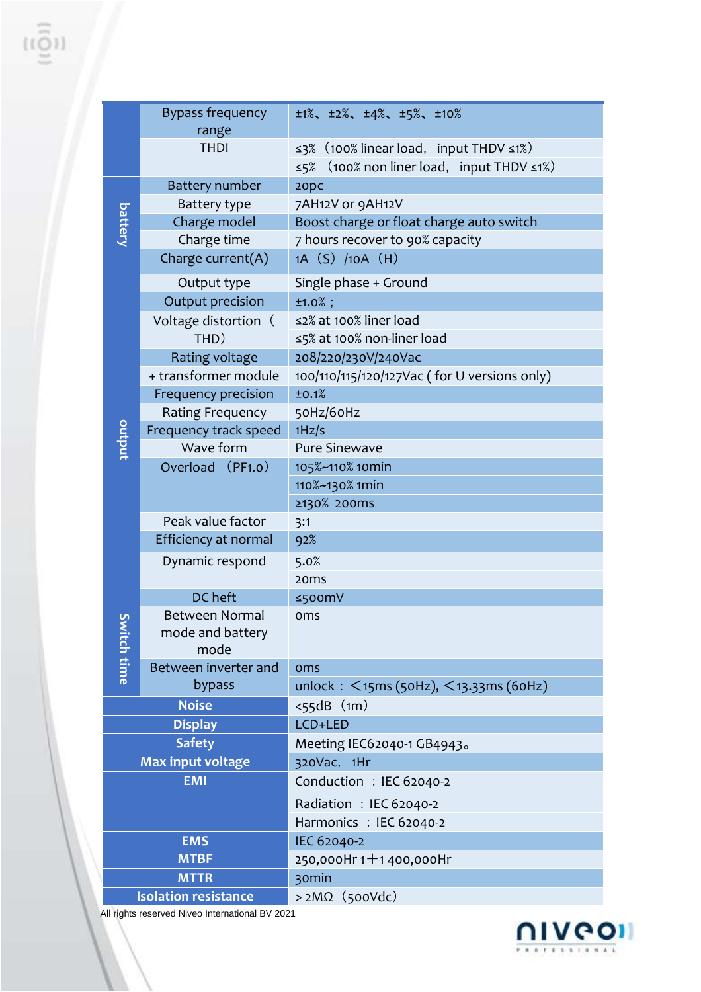|                             | <b>Bypass frequency</b>    |                                                            |  |
|-----------------------------|----------------------------|------------------------------------------------------------|--|
|                             | range                      | $\pm 1\%$ , $\pm 2\%$ , $\pm 4\%$ , $\pm 5\%$ , $\pm 10\%$ |  |
|                             | <b>THDI</b>                | ≤3% (100% linear load, input THDV ≤1%)                     |  |
|                             |                            | (100% non liner load, input THDV ≤1%)<br>≤5%               |  |
|                             | <b>Battery number</b>      | 20pc                                                       |  |
|                             | Battery type               | 7AH12V or 9AH12V                                           |  |
| <b>battery</b>              | Charge model               | Boost charge or float charge auto switch                   |  |
|                             | Charge time                | 7 hours recover to 90% capacity                            |  |
|                             |                            |                                                            |  |
|                             | Charge current(A)          | 1A (S) /10A (H)                                            |  |
|                             | Output type                | Single phase + Ground                                      |  |
|                             | Output precision           | $±1.0%$ ;                                                  |  |
|                             | Voltage distortion (       | ≤2% at 100% liner load                                     |  |
|                             | THD)                       | ≤5% at 100% non-liner load                                 |  |
|                             | Rating voltage             | 208/220/230V/240Vac                                        |  |
|                             | + transformer module       | 100/110/115/120/127Vac (for U versions only)               |  |
|                             | <b>Frequency precision</b> | ±0.1%                                                      |  |
|                             | <b>Rating Frequency</b>    | 50Hz/60Hz                                                  |  |
|                             | Frequency track speed      | 1Hz/s                                                      |  |
| output                      | Wave form                  | <b>Pure Sinewave</b>                                       |  |
|                             | Overload (PF1.0)           | 105%~110% 10min                                            |  |
|                             |                            | 110%~130% 1min                                             |  |
|                             |                            | ≥130% 200ms                                                |  |
|                             | Peak value factor          | 3:1                                                        |  |
|                             | Efficiency at normal       | 92%                                                        |  |
|                             | Dynamic respond            | 5.0%                                                       |  |
|                             |                            | 20 <sub>ms</sub>                                           |  |
|                             | DC heft                    | ≤500mV                                                     |  |
| ي                           | <b>Between Normal</b>      | oms                                                        |  |
|                             | mode and battery           |                                                            |  |
| vitch time                  | mode                       |                                                            |  |
|                             | Between inverter and       | oms                                                        |  |
|                             | bypass                     | unlock: $\leq$ 15ms (50Hz), $\leq$ 13.33ms (60Hz)          |  |
| <b>Noise</b>                |                            | $<$ 55dB $(m)$                                             |  |
| <b>Display</b>              |                            | LCD+LED                                                    |  |
| <b>Safety</b>               |                            | Meeting IEC62040-1 GB4943。                                 |  |
| <b>Max input voltage</b>    |                            | 320Vac, 1Hr                                                |  |
| <b>EMI</b>                  |                            | Conduction: IEC 62040-2                                    |  |
|                             |                            | Radiation : IEC 62040-2                                    |  |
|                             |                            | Harmonics: IEC 62040-2                                     |  |
| <b>EMS</b>                  |                            | IEC 62040-2                                                |  |
| <b>MTBF</b>                 |                            | $250,000$ Hr $1 + 1$ 400,000Hr                             |  |
| <b>MTTR</b>                 |                            | 30min                                                      |  |
| <b>Isolation resistance</b> |                            | $>2M\Omega$ (500Vdc)                                       |  |

All rights reserved Niveo International BV 2021

 $\begin{array}{c} \widehat{\{\mathfrak{l}(Q)}} \end{array}$